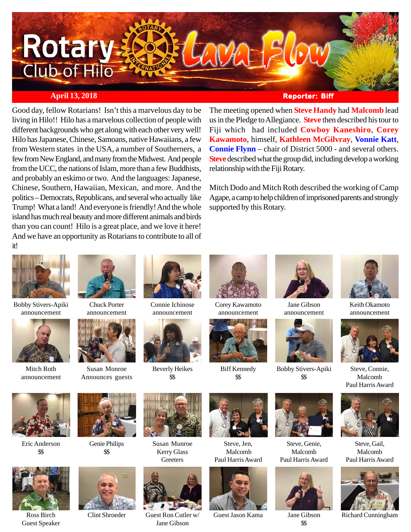

## **April 13, 2018 Reporter: Biff Reporter: Biff**

Good day, fellow Rotarians! Isn't this a marvelous day to be living in Hilo!! Hilo has a marvelous collection of people with different backgrounds who get along with each other very well! Hilo has Japanese, Chinese, Samoans, native Hawaiians, a few from Western states in the USA, a number of Southerners, a few from New England, and many from the Midwest. And people from the UCC, the nations of Islam, more than a few Buddhists, and probably an eskimo or two. And the languages: Japanese, Chinese, Southern, Hawaiian, Mexican, and more. And the politics – Democrats, Republicans, and several who actually like Trump! What a land! And everyone is friendly! And the whole island has much real beauty and more different animals and birds than you can count! Hilo is a great place, and we love it here! And we have an opportunity as Rotarians to contribute to all of it!

The meeting opened when **Steve Handy** had **Malcomb** lead us in the Pledge to Allegiance. **Steve** then described his tour to Fiji which had included **Cowboy Kaneshiro**, **Corey Kawamoto**, himself, **Kathleen McGilvray**, **Vonnie Katt**, **Connie Flynn** – chair of District 5000 - and several others. **Steve** described what the group did, including develop a working relationship with the Fiji Rotary.

Mitch Dodo and Mitch Roth described the working of Camp Agape, a camp to help children of imprisoned parents and strongly supported by this Rotary.



Bobby Stivers-Apiki announcement



Mitch Roth announcement

Eric Anderson \$\$

Guest Speaker



Chuck Porter announcement



Susan Monroe Announces guests



Connie Ichinose announcement



Beverly Heikes \$\$



Corey Kawamoto announcement



Biff Kennedy \$\$



Jane Gibson announcement



Bobby Stivers-Apiki \$\$





\$\$



Keith Okamoto announcement



Steve, Connie, Malcomb Paul Harris Award



Steve, Gail, Malcomb Paul Harris Award



Jane Gibson Richard Cunningham



Genie Philips \$\$



Ross Birch Clint Shroeder



Susan Munroe Kerry Glass **Greeters** 



Guest Ron Cutler w/ Guest Jason Kama Jane Gibson



Steve, Jen, Malcomb Paul Harris Award











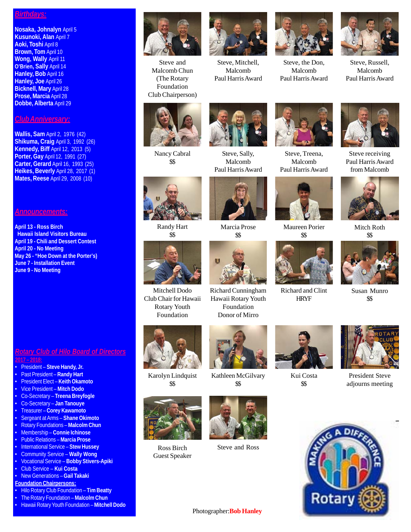#### *Birthdays:*

**Nosaka, Johnalyn** April 5 **Kusunoki, Alan** April 7 **Aoki, Toshi** April 8 **Brown, Tom** April 10 **Wong, Wally** April 11 **O'Brien, Sally** April 14 **Hanley, Bob** April 16 **Hanley, Joe** April 26 **Bicknell, Mary** April 28 **Prose, Marcia** April 28 **Dobbe, Alberta** April 29

### *Club Anniversary:*

**Wallis, Sam** April 2, 1976 (42) **Shikuma, Craig** April 3, 1992 (26) **Kennedy, Biff** April 12, 2013 (5) **Porter, Gay** April 12, 1991 (27) **Carter, Gerard** April 16, 1993 (25) **Heikes, Beverly** April 28, 2017 (1) **Mates, Reese** April 29, 2008 (10)

#### *Announcements:*

**April 13 - Ross Birch Hawaii Island Visitors Bureau April 19 - Chili and Dessert Contest April 20 - No Meeting May 26 - "Hoe Down at the Porter's) June 7 - Installation Event June 9 - No Meeting**

*Rotary Club of Hilo Board of Directors* **2017 – 2018:**

- President **Steve Handy, Jr.**
- Past President **Randy Hart**
- President Elect **Keith Okamoto**
- Vice President **Mitch Dodo**
- Co-Secretary **Treena Breyfogle**
- Co-Secretary **Jan Tanouye**
- Treasurer **Corey Kawamoto**
- Sergeant at Arms **Shane Okimoto**
- Rotary Foundations **Malcolm Chun**
- Membership **Connie Ichinose**
- Public Relations **Marcia Prose**
- International Service **Stew Hussey**
- Community Service **Wally Wong**
- Vocational Service **Bobby Stivers-Apiki**
- Club Service **Kui Costa** • New Generations – **Gail Takaki**
- **Foundation Chairpersons:**
- Hilo Rotary Club Foundation **Tim Beatty**
- The Rotary Foundation **Malcolm Chun**
- Hawaii Rotary Youth Foundation **Mitchell Dodo**



Steve and Malcomb Chun (The Rotary Foundation Club Chairperson)



Steve, Mitchell, Malcomb Paul Harris Award



Steve, the Don, Malcomb Paul Harris Award



Steve, Russell, Malcomb Paul Harris Award



Nancy Cabral \$\$

Randy Hart \$\$





Steve, Treena, Malcomb Paul Harris Award

Maureen Porier \$\$



Steve receiving Paul Harris Award from Malcomb



Mitch Roth \$\$



Susan Munro \$\$



Mitchell Dodo Club Chair for Hawaii Rotary Youth

Karolyn Lindquist \$\$



Kathleen McGilvary \$\$



Guest Speaker



Ross Birch Steve and Ross



HRYF

Kui Costa \$\$



President Steve adjourns meeting



Photographer:**Bob Hanley**





Richard Cunningham Hawaii Rotary Youth Foundation Donor of Mirro